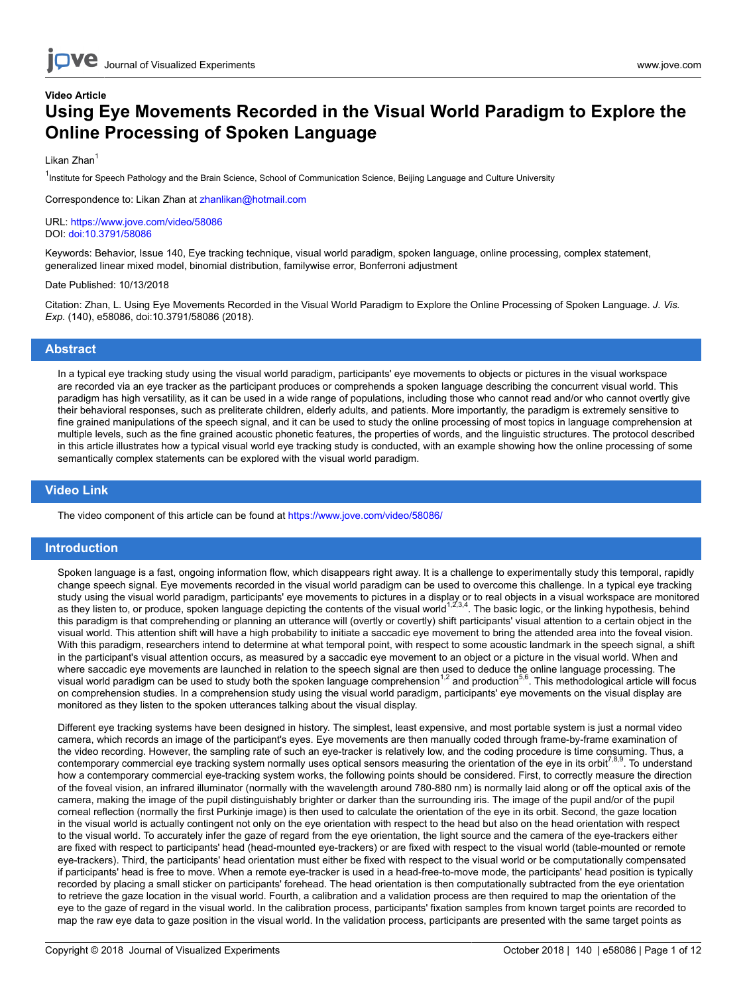# **Video Article Using Eye Movements Recorded in the Visual World Paradigm to Explore the Online Processing of Spoken Language**

#### Likan Zhan<sup>1</sup>

<sup>1</sup>Institute for Speech Pathology and the Brain Science, School of Communication Science, Beijing Language and Culture University

Correspondence to: Likan Zhan at [zhanlikan@hotmail.com](mailto:zhanlikan@hotmail.com)

#### URL:<https://www.jove.com/video/58086> DOI: [doi:10.3791/58086](http://dx.doi.org/10.3791/58086)

Keywords: Behavior, Issue 140, Eye tracking technique, visual world paradigm, spoken language, online processing, complex statement, generalized linear mixed model, binomial distribution, familywise error, Bonferroni adjustment

#### Date Published: 10/13/2018

Citation: Zhan, L. Using Eye Movements Recorded in the Visual World Paradigm to Explore the Online Processing of Spoken Language. *J. Vis. Exp.* (140), e58086, doi:10.3791/58086 (2018).

### **Abstract**

In a typical eye tracking study using the visual world paradigm, participants' eye movements to objects or pictures in the visual workspace are recorded via an eye tracker as the participant produces or comprehends a spoken language describing the concurrent visual world. This paradigm has high versatility, as it can be used in a wide range of populations, including those who cannot read and/or who cannot overtly give their behavioral responses, such as preliterate children, elderly adults, and patients. More importantly, the paradigm is extremely sensitive to fine grained manipulations of the speech signal, and it can be used to study the online processing of most topics in language comprehension at multiple levels, such as the fine grained acoustic phonetic features, the properties of words, and the linguistic structures. The protocol described in this article illustrates how a typical visual world eye tracking study is conducted, with an example showing how the online processing of some semantically complex statements can be explored with the visual world paradigm.

### **Video Link**

The video component of this article can be found at <https://www.jove.com/video/58086/>

### **Introduction**

Spoken language is a fast, ongoing information flow, which disappears right away. It is a challenge to experimentally study this temporal, rapidly change speech signal. Eye movements recorded in the visual world paradigm can be used to overcome this challenge. In a typical eye tracking study using the visual world paradigm, participants' eye movements to pictures in a display or to real objects in a visual workspace are monitored<br>as they listen to, or produce, spoken language depicting the contents of th this paradigm is that comprehending or planning an utterance will (overtly or covertly) shift participants' visual attention to a certain object in the visual world. This attention shift will have a high probability to initiate a saccadic eye movement to bring the attended area into the foveal vision. With this paradigm, researchers intend to determine at what temporal point, with respect to some acoustic landmark in the speech signal, a shift in the participant's visual attention occurs, as measured by a saccadic eye movement to an object or a picture in the visual world. When and where saccadic eye movements are launched in relation to the speech signal are then used to deduce the online language processing. The visual world paradigm can be used to study both the spoken language comprehension<sup>1,2</sup> and production<sup>5,6</sup>. This methodological article will focus on comprehension studies. In a comprehension study using the visual world paradigm, participants' eye movements on the visual display are monitored as they listen to the spoken utterances talking about the visual display.

Different eye tracking systems have been designed in history. The simplest, least expensive, and most portable system is just a normal video camera, which records an image of the participant's eyes. Eye movements are then manually coded through frame-by-frame examination of the video recording. However, the sampling rate of such an eye-tracker is relatively low, and the coding procedure is time consuming. Thus, a contemporary commercial eye tracking system normally uses optical sensors measuring the orientation of the eye in its orbit<sup>7,8,9</sup>. To understand how a contemporary commercial eye-tracking system works, the following points should be considered. First, to correctly measure the direction of the foveal vision, an infrared illuminator (normally with the wavelength around 780-880 nm) is normally laid along or off the optical axis of the camera, making the image of the pupil distinguishably brighter or darker than the surrounding iris. The image of the pupil and/or of the pupil corneal reflection (normally the first Purkinje image) is then used to calculate the orientation of the eye in its orbit. Second, the gaze location in the visual world is actually contingent not only on the eye orientation with respect to the head but also on the head orientation with respect to the visual world. To accurately infer the gaze of regard from the eye orientation, the light source and the camera of the eye-trackers either are fixed with respect to participants' head (head-mounted eye-trackers) or are fixed with respect to the visual world (table-mounted or remote eye-trackers). Third, the participants' head orientation must either be fixed with respect to the visual world or be computationally compensated if participants' head is free to move. When a remote eye-tracker is used in a head-free-to-move mode, the participants' head position is typically recorded by placing a small sticker on participants' forehead. The head orientation is then computationally subtracted from the eye orientation to retrieve the gaze location in the visual world. Fourth, a calibration and a validation process are then required to map the orientation of the eye to the gaze of regard in the visual world. In the calibration process, participants' fixation samples from known target points are recorded to map the raw eye data to gaze position in the visual world. In the validation process, participants are presented with the same target points as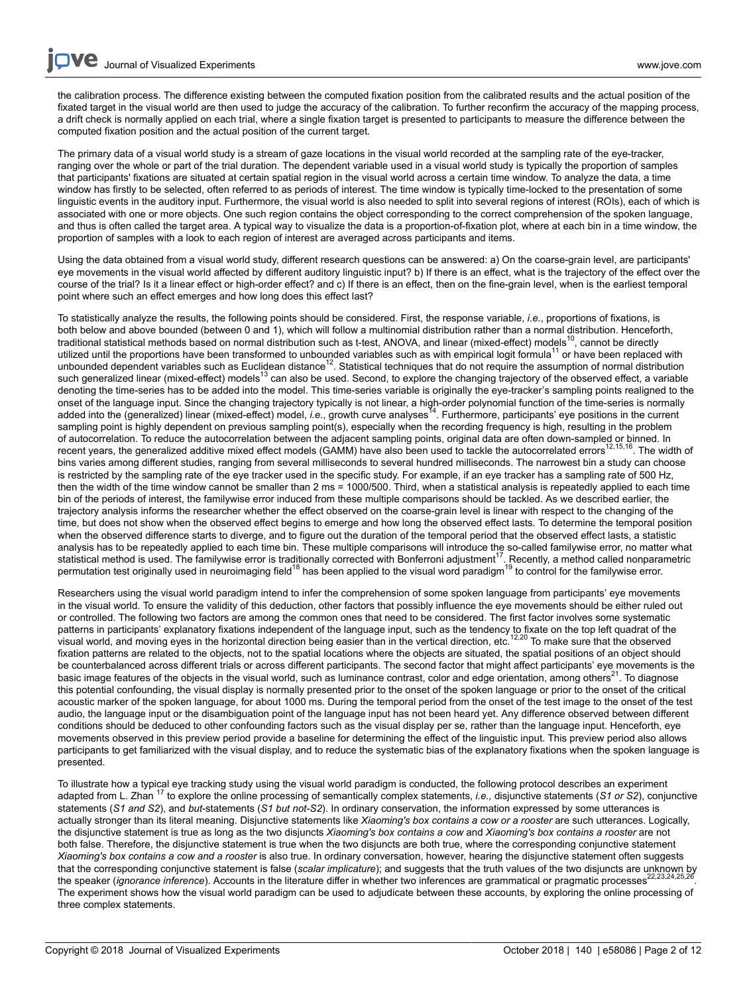the calibration process. The difference existing between the computed fixation position from the calibrated results and the actual position of the fixated target in the visual world are then used to judge the accuracy of the calibration. To further reconfirm the accuracy of the mapping process, a drift check is normally applied on each trial, where a single fixation target is presented to participants to measure the difference between the computed fixation position and the actual position of the current target.

The primary data of a visual world study is a stream of gaze locations in the visual world recorded at the sampling rate of the eye-tracker, ranging over the whole or part of the trial duration. The dependent variable used in a visual world study is typically the proportion of samples that participants' fixations are situated at certain spatial region in the visual world across a certain time window. To analyze the data, a time window has firstly to be selected, often referred to as periods of interest. The time window is typically time-locked to the presentation of some linguistic events in the auditory input. Furthermore, the visual world is also needed to split into several regions of interest (ROIs), each of which is associated with one or more objects. One such region contains the object corresponding to the correct comprehension of the spoken language, and thus is often called the target area. A typical way to visualize the data is a proportion-of-fixation plot, where at each bin in a time window, the proportion of samples with a look to each region of interest are averaged across participants and items.

Using the data obtained from a visual world study, different research questions can be answered: a) On the coarse-grain level, are participants' eye movements in the visual world affected by different auditory linguistic input? b) If there is an effect, what is the trajectory of the effect over the course of the trial? Is it a linear effect or high-order effect? and c) If there is an effect, then on the fine-grain level, when is the earliest temporal point where such an effect emerges and how long does this effect last?

To statistically analyze the results, the following points should be considered. First, the response variable, *i.e.*, proportions of fixations, is both below and above bounded (between 0 and 1), which will follow a multinomial distribution rather than a normal distribution. Henceforth, traditional statistical methods based on normal distribution such as t-test, ANOVA, and linear (mixed-effect) models<sup>10</sup>, cannot be directly utilized until the proportions have been transformed to unbounded variables such as with empirical logit formula<sup>11</sup> or have been replaced with unbounded dependent variables such as Euclidean distance<sup>12</sup>. Statistical techniques that do not require the assumption of normal distribution such generalized linear (mixed-effect) models<sup>13</sup> can also be used. Second, to explore the changing trajectory of the observed effect, a variable denoting the time-series has to be added into the model. This time-series variable is originally the eye-tracker's sampling points realigned to the onset of the language input. Since the changing trajectory typically is not linear, a high-order polynomial function of the time-series is normally<br>added into the (generalized) linear (mixed-effect) model, *i.e*., growth c sampling point is highly dependent on previous sampling point(s), especially when the recording frequency is high, resulting in the problem of autocorrelation. To reduce the autocorrelation between the adjacent sampling points, original data are often down-sampled or binned. In recent years, the generalized additive mixed effect models (GAMM) have also been used to tackle the autocorrelated errors<sup>12,15,16</sup>. The width of bins varies among different studies, ranging from several milliseconds to several hundred milliseconds. The narrowest bin a study can choose is restricted by the sampling rate of the eye tracker used in the specific study. For example, if an eye tracker has a sampling rate of 500 Hz, then the width of the time window cannot be smaller than 2 ms = 1000/500. Third, when a statistical analysis is repeatedly applied to each time bin of the periods of interest, the familywise error induced from these multiple comparisons should be tackled. As we described earlier, the trajectory analysis informs the researcher whether the effect observed on the coarse-grain level is linear with respect to the changing of the time, but does not show when the observed effect begins to emerge and how long the observed effect lasts. To determine the temporal position when the observed difference starts to diverge, and to figure out the duration of the temporal period that the observed effect lasts, a statistic analysis has to be repeatedly applied to each time bin. These multiple comparisons will introduce the so-called familywise error, no matter what statistical method is used. The familywise error is traditionally corrected with Bonferroni adjustment<sup>17</sup>. Recently, a method called nonparametric<br>permutation test originally used in neuroimaging field<sup>18</sup> has been applie

Researchers using the visual world paradigm intend to infer the comprehension of some spoken language from participants' eye movements in the visual world. To ensure the validity of this deduction, other factors that possibly influence the eye movements should be either ruled out or controlled. The following two factors are among the common ones that need to be considered. The first factor involves some systematic patterns in participants' explanatory fixations independent of the language input, such as the tendency to fixate on the top left quadrat of the<br>visual world, and moving eyes in the horizontal direction being easier than i fixation patterns are related to the objects, not to the spatial locations where the objects are situated, the spatial positions of an object should be counterbalanced across different trials or across different participants. The second factor that might affect participants' eye movements is the basic image features of the objects in the visual world, such as luminance contrast, color and edge orientation, among others<sup>21</sup>. To diagnose this potential confounding, the visual display is normally presented prior to the onset of the spoken language or prior to the onset of the critical acoustic marker of the spoken language, for about 1000 ms. During the temporal period from the onset of the test image to the onset of the test audio, the language input or the disambiguation point of the language input has not been heard yet. Any difference observed between different conditions should be deduced to other confounding factors such as the visual display per se, rather than the language input. Henceforth, eye movements observed in this preview period provide a baseline for determining the effect of the linguistic input. This preview period also allows participants to get familiarized with the visual display, and to reduce the systematic bias of the explanatory fixations when the spoken language is presented.

To illustrate how a typical eye tracking study using the visual world paradigm is conducted, the following protocol describes an experiment adapted from L. Zhan <sup>17</sup> to explore the online processing of semantically complex statements, *i.e.*, disjunctive statements (S1 or S2), conjunctive statements (*S1 and S2*), and *but*-statements (*S1 but not-S2*). In ordinary conservation, the information expressed by some utterances is actually stronger than its literal meaning. Disjunctive statements like *Xiaoming's box contains a cow or a rooster* are such utterances. Logically, the disjunctive statement is true as long as the two disjuncts *Xiaoming's box contains a cow* and *Xiaoming's box contains a rooster* are not both false. Therefore, the disjunctive statement is true when the two disjuncts are both true, where the corresponding conjunctive statement *Xiaoming's box contains a cow and a rooster* is also true. In ordinary conversation, however, hearing the disjunctive statement often suggests that the corresponding conjunctive statement is false (*scalar implicature*); and suggests that the truth values of the two disjuncts are unknown by the speaker (*ignorance inference*). Accounts in the literature differ in whether two inferences are grammatical or pragmatic processes<sup>22,23,24,25,26</sup>. The experiment shows how the visual world paradigm can be used to adjudicate between these accounts, by exploring the online processing of three complex statements.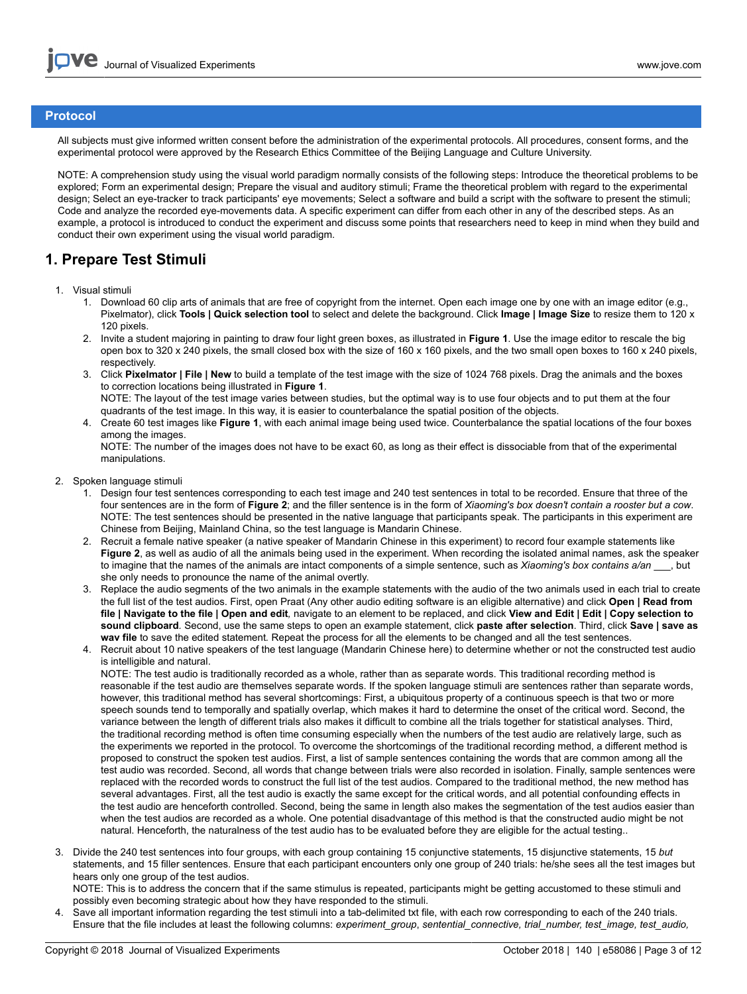### **Protocol**

All subjects must give informed written consent before the administration of the experimental protocols. All procedures, consent forms, and the experimental protocol were approved by the Research Ethics Committee of the Beijing Language and Culture University.

NOTE: A comprehension study using the visual world paradigm normally consists of the following steps: Introduce the theoretical problems to be explored; Form an experimental design; Prepare the visual and auditory stimuli; Frame the theoretical problem with regard to the experimental design; Select an eye-tracker to track participants' eye movements; Select a software and build a script with the software to present the stimuli; Code and analyze the recorded eye-movements data. A specific experiment can differ from each other in any of the described steps. As an example, a protocol is introduced to conduct the experiment and discuss some points that researchers need to keep in mind when they build and conduct their own experiment using the visual world paradigm.

## **1. Prepare Test Stimuli**

- 1. Visual stimuli
	- 1. Download 60 clip arts of animals that are free of copyright from the internet. Open each image one by one with an image editor (e.g., Pixelmator), click **Tools | Quick selection tool** to select and delete the background. Click **Image | Image Size** to resize them to 120 x 120 pixels.
	- 2. Invite a student majoring in painting to draw four light green boxes, as illustrated in **Figure 1**. Use the image editor to rescale the big open box to 320 x 240 pixels, the small closed box with the size of 160 x 160 pixels, and the two small open boxes to 160 x 240 pixels, respectively
	- 3. Click **Pixelmator | File | New** to build a template of the test image with the size of 1024 768 pixels. Drag the animals and the boxes to correction locations being illustrated in **Figure 1**. NOTE: The layout of the test image varies between studies, but the optimal way is to use four objects and to put them at the four
	- quadrants of the test image. In this way, it is easier to counterbalance the spatial position of the objects. 4. Create 60 test images like **Figure 1**, with each animal image being used twice. Counterbalance the spatial locations of the four boxes among the images.

NOTE: The number of the images does not have to be exact 60, as long as their effect is dissociable from that of the experimental manipulations.

- 2. Spoken language stimuli
	- 1. Design four test sentences corresponding to each test image and 240 test sentences in total to be recorded. Ensure that three of the four sentences are in the form of **Figure 2**; and the filler sentence is in the form of *Xiaoming's box doesn't contain a rooster but a cow*. NOTE: The test sentences should be presented in the native language that participants speak. The participants in this experiment are Chinese from Beijing, Mainland China, so the test language is Mandarin Chinese.
	- 2. Recruit a female native speaker (a native speaker of Mandarin Chinese in this experiment) to record four example statements like **Figure 2**, as well as audio of all the animals being used in the experiment. When recording the isolated animal names, ask the speaker to imagine that the names of the animals are intact components of a simple sentence, such as *Xiaoming's box contains a/an* \_\_\_, but she only needs to pronounce the name of the animal overtly.
	- 3. Replace the audio segments of the two animals in the example statements with the audio of the two animals used in each trial to create the full list of the test audios. First, open Praat (Any other audio editing software is an eligible alternative) and click **Open | Read from file | Navigate to the file | Open and edit***,* navigate to an element to be replaced, and click **View and Edit | Edit | Copy selection to sound clipboard***.* Second, use the same steps to open an example statement, click **paste after selection**. Third, click **Save | save as wav file** to save the edited statement*.* Repeat the process for all the elements to be changed and all the test sentences.
	- 4. Recruit about 10 native speakers of the test language (Mandarin Chinese here) to determine whether or not the constructed test audio is intelligible and natural.

NOTE: The test audio is traditionally recorded as a whole, rather than as separate words. This traditional recording method is reasonable if the test audio are themselves separate words. If the spoken language stimuli are sentences rather than separate words, however, this traditional method has several shortcomings: First, a ubiquitous property of a continuous speech is that two or more speech sounds tend to temporally and spatially overlap, which makes it hard to determine the onset of the critical word. Second, the variance between the length of different trials also makes it difficult to combine all the trials together for statistical analyses. Third, the traditional recording method is often time consuming especially when the numbers of the test audio are relatively large, such as the experiments we reported in the protocol. To overcome the shortcomings of the traditional recording method, a different method is proposed to construct the spoken test audios. First, a list of sample sentences containing the words that are common among all the test audio was recorded. Second, all words that change between trials were also recorded in isolation. Finally, sample sentences were replaced with the recorded words to construct the full list of the test audios. Compared to the traditional method, the new method has several advantages. First, all the test audio is exactly the same except for the critical words, and all potential confounding effects in the test audio are henceforth controlled. Second, being the same in length also makes the segmentation of the test audios easier than when the test audios are recorded as a whole. One potential disadvantage of this method is that the constructed audio might be not natural. Henceforth, the naturalness of the test audio has to be evaluated before they are eligible for the actual testing..

3. Divide the 240 test sentences into four groups, with each group containing 15 conjunctive statements, 15 disjunctive statements, 15 *but* statements, and 15 filler sentences. Ensure that each participant encounters only one group of 240 trials: he/she sees all the test images but hears only one group of the test audios.

NOTE: This is to address the concern that if the same stimulus is repeated, participants might be getting accustomed to these stimuli and possibly even becoming strategic about how they have responded to the stimuli.

4. Save all important information regarding the test stimuli into a tab-delimited txt file, with each row corresponding to each of the 240 trials. Ensure that the file includes at least the following columns: *experiment\_group*, *sentential\_connective, trial\_number, test\_image, test\_audio,*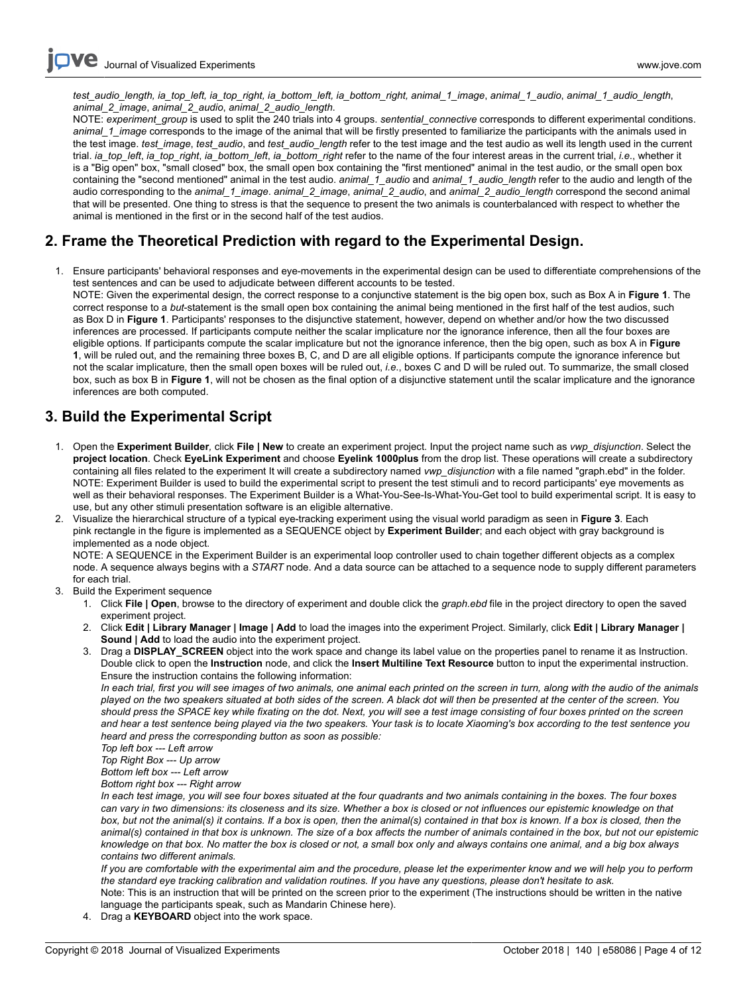*test\_audio\_length, ia\_top\_left, ia\_top\_right, ia\_bottom\_left, ia\_bottom\_right, animal\_1\_image*, *animal\_1\_audio*, *animal\_1\_audio\_length*, *animal\_2\_image*, *animal\_2\_audio*, *animal\_2\_audio\_length*.

NOTE: experiment group is used to split the 240 trials into 4 groups. *sentential connective* corresponds to different experimental conditions. *animal\_1\_image* corresponds to the image of the animal that will be firstly presented to familiarize the participants with the animals used in the test image. *test\_image*, *test\_audio*, and *test\_audio\_length* refer to the test image and the test audio as well its length used in the current trial. *ia\_top\_left*, *ia\_top\_right*, *ia\_bottom\_left*, *ia\_bottom\_right* refer to the name of the four interest areas in the current trial, *i.e*., whether it is a "Big open" box, "small closed" box, the small open box containing the "first mentioned" animal in the test audio, or the small open box containing the "second mentioned" animal in the test audio. *animal\_1\_audio* and *animal\_1\_audio\_length* refer to the audio and length of the audio corresponding to the *animal\_1\_image*. *animal\_2\_image*, *animal\_2\_audio*, and *animal\_2\_audio\_length* correspond the second animal that will be presented. One thing to stress is that the sequence to present the two animals is counterbalanced with respect to whether the animal is mentioned in the first or in the second half of the test audios.

# **2. Frame the Theoretical Prediction with regard to the Experimental Design.**

1. Ensure participants' behavioral responses and eye-movements in the experimental design can be used to differentiate comprehensions of the test sentences and can be used to adjudicate between different accounts to be tested.

NOTE: Given the experimental design, the correct response to a conjunctive statement is the big open box, such as Box A in **Figure 1**. The correct response to a *but*-statement is the small open box containing the animal being mentioned in the first half of the test audios, such as Box D in **Figure 1**. Participants' responses to the disjunctive statement, however, depend on whether and/or how the two discussed inferences are processed. If participants compute neither the scalar implicature nor the ignorance inference, then all the four boxes are eligible options. If participants compute the scalar implicature but not the ignorance inference, then the big open, such as box A in **Figure 1**, will be ruled out, and the remaining three boxes B, C, and D are all eligible options. If participants compute the ignorance inference but not the scalar implicature, then the small open boxes will be ruled out, *i.e*., boxes C and D will be ruled out. To summarize, the small closed box, such as box B in **Figure 1**, will not be chosen as the final option of a disjunctive statement until the scalar implicature and the ignorance inferences are both computed.

# **3. Build the Experimental Script**

- 1. Open the **Experiment Builder***,* click **File | New** to create an experiment project. Input the project name such as *vwp\_disjunction*. Select the **project location**. Check **EyeLink Experiment** and choose **Eyelink 1000plus** from the drop list. These operations will create a subdirectory containing all files related to the experiment It will create a subdirectory named *vwp\_disjunction* with a file named "graph.ebd" in the folder. NOTE: Experiment Builder is used to build the experimental script to present the test stimuli and to record participants' eye movements as well as their behavioral responses. The Experiment Builder is a What-You-See-Is-What-You-Get tool to build experimental script. It is easy to use, but any other stimuli presentation software is an eligible alternative.
- 2. Visualize the hierarchical structure of a typical eye-tracking experiment using the visual world paradigm as seen in **Figure 3**. Each pink rectangle in the figure is implemented as a SEQUENCE object by **Experiment Builder**; and each object with gray background is implemented as a node object.

NOTE: A SEQUENCE in the Experiment Builder is an experimental loop controller used to chain together different objects as a complex node. A sequence always begins with a *START* node. And a data source can be attached to a sequence node to supply different parameters for each trial.

- 3. Build the Experiment sequence
	- 1. Click **File | Open**, browse to the directory of experiment and double click the *graph.ebd* file in the project directory to open the saved experiment project.
	- 2. Click **Edit | Library Manager | Image | Add** to load the images into the experiment Project. Similarly, click **Edit | Library Manager | Sound | Add** to load the audio into the experiment project.
	- 3. Drag a **DISPLAY\_SCREEN** object into the work space and change its label value on the properties panel to rename it as Instruction. Double click to open the **Instruction** node, and click the **Insert Multiline Text Resource** button to input the experimental instruction. Ensure the instruction contains the following information:

*In each trial, first you will see images of two animals, one animal each printed on the screen in turn, along with the audio of the animals* played on the two speakers situated at both sides of the screen. A black dot will then be presented at the center of the screen. You should press the SPACE key while fixating on the dot. Next, you will see a test image consisting of four boxes printed on the screen and hear a test sentence being played via the two speakers. Your task is to locate Xiaoming's box according to the test sentence you *heard and press the corresponding button as soon as possible:*

*Top left box --- Left arrow*

*Top Right Box --- Up arrow*

*Bottom left box --- Left arrow*

*Bottom right box --- Right arrow*

*In each test image, you will see four boxes situated at the four quadrants and two animals containing in the boxes. The four boxes can vary in two dimensions: its closeness and its size. Whether a box is closed or not influences our epistemic knowledge on that* box, but not the animal(s) it contains. If a box is open, then the animal(s) contained in that box is known. If a box is closed, then the *animal(s) contained in that box is unknown. The size of a box affects the number of animals contained in the box, but not our epistemic knowledge on that box. No matter the box is closed or not, a small box only and always contains one animal, and a big box always contains two different animals.*

*If you are comfortable with the experimental aim and the procedure, please let the experimenter know and we will help you to perform the standard eye tracking calibration and validation routines. If you have any questions, please don't hesitate to ask.* Note: This is an instruction that will be printed on the screen prior to the experiment (The instructions should be written in the native

- language the participants speak, such as Mandarin Chinese here).
- 4. Drag a **KEYBOARD** object into the work space.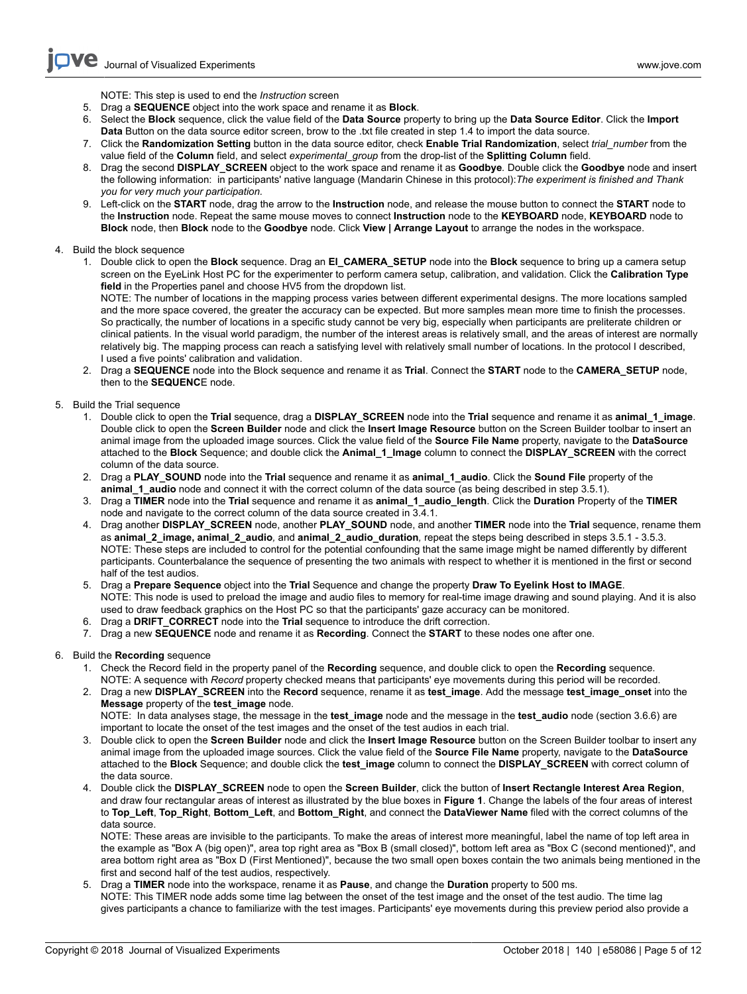NOTE: This step is used to end the *Instruction* screen

- 5. Drag a **SEQUENCE** object into the work space and rename it as **Block**.
- 6. Select the **Block** sequence, click the value field of the **Data Source** property to bring up the **Data Source Editor**. Click the **Import Data** Button on the data source editor screen, brow to the .txt file created in step 1.4 to import the data source.
- 7. Click the **Randomization Setting** button in the data source editor, check **Enable Trial Randomization**, select *trial\_number* from the value field of the **Column** field, and select *experimental\_group* from the drop-list of the **Splitting Column** field.
- 8. Drag the second **DISPLAY\_SCREEN** object to the work space and rename it as **Goodbye***.* Double click the **Goodbye** node and insert the following information: in participants' native language (Mandarin Chinese in this protocol):*The experiment is finished and Thank you for very much your participation.*
- 9. Left-click on the **START** node, drag the arrow to the **Instruction** node, and release the mouse button to connect the **START** node to the **Instruction** node. Repeat the same mouse moves to connect **Instruction** node to the **KEYBOARD** node, **KEYBOARD** node to **Block** node, then **Block** node to the **Goodbye** node. Click **View | Arrange Layout** to arrange the nodes in the workspace.
- 4. Build the block sequence
	- 1. Double click to open the **Block** sequence. Drag an **El\_CAMERA\_SETUP** node into the **Block** sequence to bring up a camera setup screen on the EyeLink Host PC for the experimenter to perform camera setup, calibration, and validation. Click the **Calibration Type** field in the Properties panel and choose HV5 from the dropdown list.

NOTE: The number of locations in the mapping process varies between different experimental designs. The more locations sampled and the more space covered, the greater the accuracy can be expected. But more samples mean more time to finish the processes. So practically, the number of locations in a specific study cannot be very big, especially when participants are preliterate children or clinical patients. In the visual world paradigm, the number of the interest areas is relatively small, and the areas of interest are normally relatively big. The mapping process can reach a satisfying level with relatively small number of locations. In the protocol I described, I used a five points' calibration and validation.

- 2. Drag a **SEQUENCE** node into the Block sequence and rename it as **Trial**. Connect the **START** node to the **CAMERA\_SETUP** node, then to the **SEQUENC**E node.
- 5. Build the Trial sequence
	- 1. Double click to open the **Trial** sequence, drag a **DISPLAY\_SCREEN** node into the **Trial** sequence and rename it as **animal\_1\_image**. Double click to open the **Screen Builder** node and click the **Insert Image Resource** button on the Screen Builder toolbar to insert an animal image from the uploaded image sources. Click the value field of the **Source File Name** property, navigate to the **DataSource** attached to the **Block** Sequence; and double click the **Animal\_1\_Image** column to connect the **DISPLAY\_SCREEN** with the correct column of the data source.
	- 2. Drag a **PLAY\_SOUND** node into the **Trial** sequence and rename it as **animal\_1\_audio**. Click the **Sound File** property of the **animal\_1\_audio** node and connect it with the correct column of the data source (as being described in step 3.5.1).
	- 3. Drag a **TIMER** node into the **Trial** sequence and rename it as **animal\_1\_audio\_length**. Click the **Duration** Property of the **TIMER** node and navigate to the correct column of the data source created in 3.4.1.
	- 4. Drag another **DISPLAY\_SCREEN** node, another **PLAY\_SOUND** node, and another **TIMER** node into the **Trial** sequence, rename them as **animal\_2\_image, animal\_2\_audio***,* and **animal\_2\_audio\_duration***,* repeat the steps being described in steps 3.5.1 - 3.5.3. NOTE: These steps are included to control for the potential confounding that the same image might be named differently by different participants. Counterbalance the sequence of presenting the two animals with respect to whether it is mentioned in the first or second half of the test audios.
	- 5. Drag a **Prepare Sequence** object into the **Trial** Sequence and change the property **Draw To Eyelink Host to IMAGE**. NOTE: This node is used to preload the image and audio files to memory for real-time image drawing and sound playing. And it is also used to draw feedback graphics on the Host PC so that the participants' gaze accuracy can be monitored.
	- 6. Drag a **DRIFT\_CORRECT** node into the **Trial** sequence to introduce the drift correction.
	- 7. Drag a new **SEQUENCE** node and rename it as **Recording**. Connect the **START** to these nodes one after one.
- 6. Build the **Recording** sequence
	- 1. Check the Record field in the property panel of the **Recording** sequence, and double click to open the **Recording** sequence. NOTE: A sequence with *Record* property checked means that participants' eye movements during this period will be recorded.
	- 2. Drag a new **DISPLAY\_SCREEN** into the **Record** sequence, rename it as **test\_image**. Add the message **test\_image\_onset** into the **Message** property of the **test\_image** node. NOTE: In data analyses stage, the message in the **test\_image** node and the message in the **test\_audio** node (section 3.6.6) are important to locate the onset of the test images and the onset of the test audios in each trial.
	- 3. Double click to open the **Screen Builder** node and click the **Insert Image Resource** button on the Screen Builder toolbar to insert any animal image from the uploaded image sources. Click the value field of the **Source File Name** property, navigate to the **DataSource** attached to the **Block** Sequence; and double click the **test\_image** column to connect the **DISPLAY\_SCREEN** with correct column of the data source.
	- 4. Double click the **DISPLAY\_SCREEN** node to open the **Screen Builder**, click the button of **Insert Rectangle Interest Area Region**, and draw four rectangular areas of interest as illustrated by the blue boxes in **Figure 1**. Change the labels of the four areas of interest to **Top\_Left**, **Top\_Right**, **Bottom\_Left**, and **Bottom\_Right**, and connect the **DataViewer Name** filed with the correct columns of the data source.

NOTE: These areas are invisible to the participants. To make the areas of interest more meaningful, label the name of top left area in the example as "Box A (big open)", area top right area as "Box B (small closed)", bottom left area as "Box C (second mentioned)", and area bottom right area as "Box D (First Mentioned)", because the two small open boxes contain the two animals being mentioned in the first and second half of the test audios, respectively.

5. Drag a **TIMER** node into the workspace, rename it as **Pause**, and change the **Duration** property to 500 ms. NOTE: This TIMER node adds some time lag between the onset of the test image and the onset of the test audio. The time lag

gives participants a chance to familiarize with the test images. Participants' eye movements during this preview period also provide a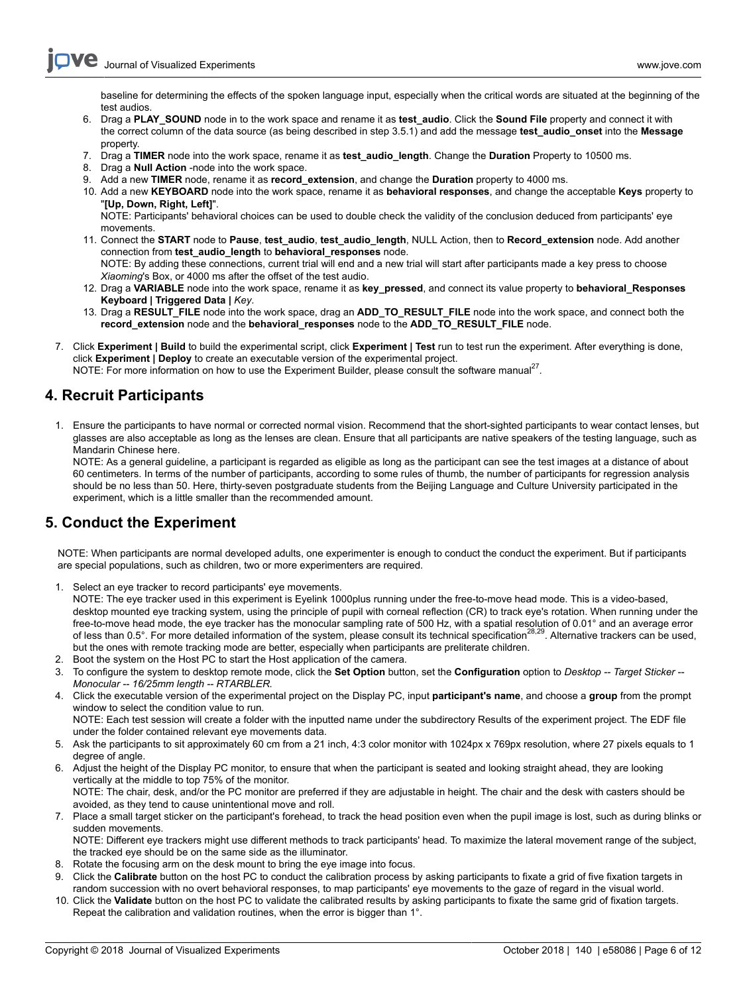baseline for determining the effects of the spoken language input, especially when the critical words are situated at the beginning of the test audios.

- 6. Drag a **PLAY\_SOUND** node in to the work space and rename it as **test\_audio**. Click the **Sound File** property and connect it with the correct column of the data source (as being described in step 3.5.1) and add the message **test\_audio\_onset** into the **Message** property.
- 7. Drag a **TIMER** node into the work space, rename it as **test\_audio\_length**. Change the **Duration** Property to 10500 ms.
- 8. Drag a **Null Action** -node into the work space.
- 9. Add a new **TIMER** node, rename it as **record\_extension**, and change the **Duration** property to 4000 ms.
- 10. Add a new **KEYBOARD** node into the work space, rename it as **behavioral responses**, and change the acceptable **Keys** property to "**[Up, Down, Right, Left]**".

NOTE: Participants' behavioral choices can be used to double check the validity of the conclusion deduced from participants' eye movements.

- 11. Connect the **START** node to **Pause**, **test\_audio**, **test\_audio\_length**, NULL Action, then to **Record\_extension** node. Add another connection from **test\_audio\_length** to **behavioral\_responses** node. NOTE: By adding these connections, current trial will end and a new trial will start after participants made a key press to choose *Xiaoming*'s Box, or 4000 ms after the offset of the test audio.
- 12. Drag a **VARIABLE** node into the work space, rename it as **key\_pressed**, and connect its value property to **behavioral\_Responses Keyboard | Triggered Data |** *Key*.
- 13. Drag a **RESULT\_FILE** node into the work space, drag an **ADD\_TO\_RESULT\_FILE** node into the work space, and connect both the **record\_extension** node and the **behavioral\_responses** node to the **ADD\_TO\_RESULT\_FILE** node.
- 7. Click **Experiment | Build** to build the experimental script, click **Experiment | Test** run to test run the experiment. After everything is done, click **Experiment | Deploy** to create an executable version of the experimental project. NOTE: For more information on how to use the Experiment Builder, please consult the software manual<sup>27</sup>.

## **4. Recruit Participants**

1. Ensure the participants to have normal or corrected normal vision. Recommend that the short-sighted participants to wear contact lenses, but glasses are also acceptable as long as the lenses are clean. Ensure that all participants are native speakers of the testing language, such as Mandarin Chinese here.

NOTE: As a general guideline, a participant is regarded as eligible as long as the participant can see the test images at a distance of about 60 centimeters. In terms of the number of participants, according to some rules of thumb, the number of participants for regression analysis should be no less than 50. Here, thirty-seven postgraduate students from the Beijing Language and Culture University participated in the experiment, which is a little smaller than the recommended amount.

## **5. Conduct the Experiment**

NOTE: When participants are normal developed adults, one experimenter is enough to conduct the conduct the experiment. But if participants are special populations, such as children, two or more experimenters are required.

1. Select an eye tracker to record participants' eye movements.

NOTE: The eye tracker used in this experiment is Eyelink 1000plus running under the free-to-move head mode. This is a video-based, desktop mounted eye tracking system, using the principle of pupil with corneal reflection (CR) to track eye's rotation. When running under the free-to-move head mode, the eye tracker has the monocular sampling rate of 500 Hz, with a spatial resolution of 0.01° and an average error of less than 0.5°. For more detailed information of the system, please consult its technical specification<sup>28,29</sup>. Alternative trackers can be used, but the ones with remote tracking mode are better, especially when participants are preliterate children.

- 2. Boot the system on the Host PC to start the Host application of the camera.
- 3. To configure the system to desktop remote mode, click the **Set Option** button, set the **Configuration** option to *Desktop -- Target Sticker -- Monocular -- 16/25mm length -- RTARBLER.*
- 4. Click the executable version of the experimental project on the Display PC, input **participant's name**, and choose a **group** from the prompt window to select the condition value to run*.* NOTE: Each test session will create a folder with the inputted name under the subdirectory Results of the experiment project. The EDF file
- under the folder contained relevant eye movements data. 5. Ask the participants to sit approximately 60 cm from a 21 inch, 4:3 color monitor with 1024px x 769px resolution, where 27 pixels equals to 1 degree of angle.
- 6. Adjust the height of the Display PC monitor, to ensure that when the participant is seated and looking straight ahead, they are looking vertically at the middle to top 75% of the monitor. NOTE: The chair, desk, and/or the PC monitor are preferred if they are adjustable in height. The chair and the desk with casters should be avoided, as they tend to cause unintentional move and roll.
- 7. Place a small target sticker on the participant's forehead, to track the head position even when the pupil image is lost, such as during blinks or sudden movements.

NOTE: Different eye trackers might use different methods to track participants' head. To maximize the lateral movement range of the subject, the tracked eye should be on the same side as the illuminator.

- 8. Rotate the focusing arm on the desk mount to bring the eye image into focus.
- 9. Click the **Calibrate** button on the host PC to conduct the calibration process by asking participants to fixate a grid of five fixation targets in random succession with no overt behavioral responses, to map participants' eye movements to the gaze of regard in the visual world.
- 10. Click the **Validate** button on the host PC to validate the calibrated results by asking participants to fixate the same grid of fixation targets. Repeat the calibration and validation routines, when the error is bigger than 1°.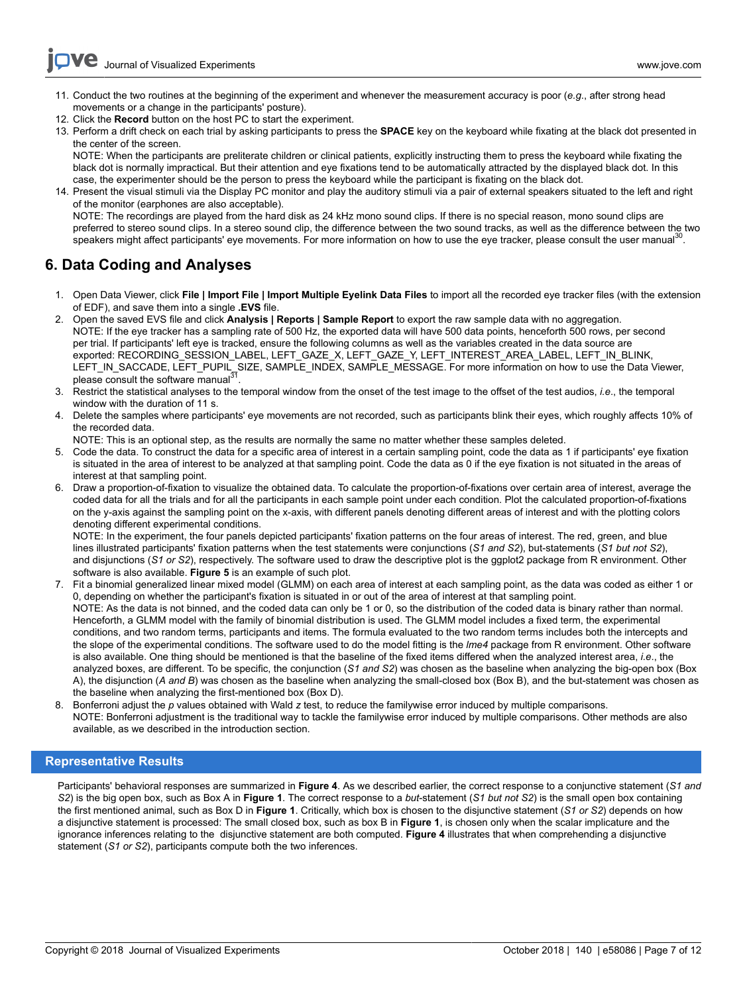- 11. Conduct the two routines at the beginning of the experiment and whenever the measurement accuracy is poor (*e.g*., after strong head movements or a change in the participants' posture).
- 12. Click the **Record** button on the host PC to start the experiment.
- 13. Perform a drift check on each trial by asking participants to press the **SPACE** key on the keyboard while fixating at the black dot presented in the center of the screen.

NOTE: When the participants are preliterate children or clinical patients, explicitly instructing them to press the keyboard while fixating the black dot is normally impractical. But their attention and eye fixations tend to be automatically attracted by the displayed black dot. In this case, the experimenter should be the person to press the keyboard while the participant is fixating on the black dot.

14. Present the visual stimuli via the Display PC monitor and play the auditory stimuli via a pair of external speakers situated to the left and right of the monitor (earphones are also acceptable). NOTE: The recordings are played from the hard disk as 24 kHz mono sound clips. If there is no special reason, mono sound clips are

preferred to stereo sound clips. In a stereo sound clip, the difference between the two sound tracks, as well as the difference between the two speakers might affect participants' eye movements. For more information on how to use the eye tracker, please consult the user manual<sup>30</sup> .

# **6. Data Coding and Analyses**

- 1. Open Data Viewer, click **File | Import File | Import Multiple Eyelink Data Files** to import all the recorded eye tracker files (with the extension of EDF), and save them into a single **.EVS** file.
- 2. Open the saved EVS file and click **Analysis | Reports | Sample Report** to export the raw sample data with no aggregation. NOTE: If the eye tracker has a sampling rate of 500 Hz, the exported data will have 500 data points, henceforth 500 rows, per second per trial. If participants' left eye is tracked, ensure the following columns as well as the variables created in the data source are exported: RECORDING\_SESSION\_LABEL, LEFT\_GAZE\_X, LEFT\_GAZE\_Y, LEFT\_INTEREST\_AREA\_LABEL, LEFT\_IN\_BLINK, LEFT\_IN\_SACCADE, LEFT\_PUPIL\_SIZE, SAMPLE\_INDEX, SAMPLE\_MESSAGE. For more information on how to use the Data Viewer, please consult the software manual<sup>31</sup> .
- 3. Restrict the statistical analyses to the temporal window from the onset of the test image to the offset of the test audios, *i.e*., the temporal window with the duration of 11 s.
- 4. Delete the samples where participants' eye movements are not recorded, such as participants blink their eyes, which roughly affects 10% of the recorded data.
	- NOTE: This is an optional step, as the results are normally the same no matter whether these samples deleted.
- 5. Code the data. To construct the data for a specific area of interest in a certain sampling point, code the data as 1 if participants' eye fixation is situated in the area of interest to be analyzed at that sampling point. Code the data as 0 if the eye fixation is not situated in the areas of interest at that sampling point.
- 6. Draw a proportion-of-fixation to visualize the obtained data. To calculate the proportion-of-fixations over certain area of interest, average the coded data for all the trials and for all the participants in each sample point under each condition. Plot the calculated proportion-of-fixations on the y-axis against the sampling point on the x-axis, with different panels denoting different areas of interest and with the plotting colors denoting different experimental conditions.

NOTE: In the experiment, the four panels depicted participants' fixation patterns on the four areas of interest. The red, green, and blue lines illustrated participants' fixation patterns when the test statements were conjunctions (*S1 and S2*), but-statements (*S1 but not S2*), and disjunctions (*S1 or S2*), respectively. The software used to draw the descriptive plot is the ggplot2 package from R environment. Other software is also available. **Figure 5** is an example of such plot.

- 7. Fit a binomial generalized linear mixed model (GLMM) on each area of interest at each sampling point, as the data was coded as either 1 or 0, depending on whether the participant's fixation is situated in or out of the area of interest at that sampling point. NOTE: As the data is not binned, and the coded data can only be 1 or 0, so the distribution of the coded data is binary rather than normal. Henceforth, a GLMM model with the family of binomial distribution is used. The GLMM model includes a fixed term, the experimental conditions, and two random terms, participants and items. The formula evaluated to the two random terms includes both the intercepts and the slope of the experimental conditions. The software used to do the model fitting is the *lme4* package from R environment. Other software is also available. One thing should be mentioned is that the baseline of the fixed items differed when the analyzed interest area, *i.e*., the analyzed boxes, are different. To be specific, the conjunction (*S1 and S2*) was chosen as the baseline when analyzing the big-open box (Box A), the disjunction (*A and B*) was chosen as the baseline when analyzing the small-closed box (Box B), and the but-statement was chosen as the baseline when analyzing the first-mentioned box (Box D).
- 8. Bonferroni adjust the *p* values obtained with Wald *z* test, to reduce the familywise error induced by multiple comparisons. NOTE: Bonferroni adjustment is the traditional way to tackle the familywise error induced by multiple comparisons. Other methods are also available, as we described in the introduction section.

### **Representative Results**

Participants' behavioral responses are summarized in **Figure 4**. As we described earlier, the correct response to a conjunctive statement (*S1 and S2*) is the big open box, such as Box A in **Figure 1**. The correct response to a *but*-statement (*S1 but not S2*) is the small open box containing the first mentioned animal, such as Box D in **Figure 1**. Critically, which box is chosen to the disjunctive statement (*S1 or S2*) depends on how a disjunctive statement is processed: The small closed box, such as box B in **Figure 1**, is chosen only when the scalar implicature and the ignorance inferences relating to the disjunctive statement are both computed. **Figure 4** illustrates that when comprehending a disjunctive statement (*S1 or S2*), participants compute both the two inferences.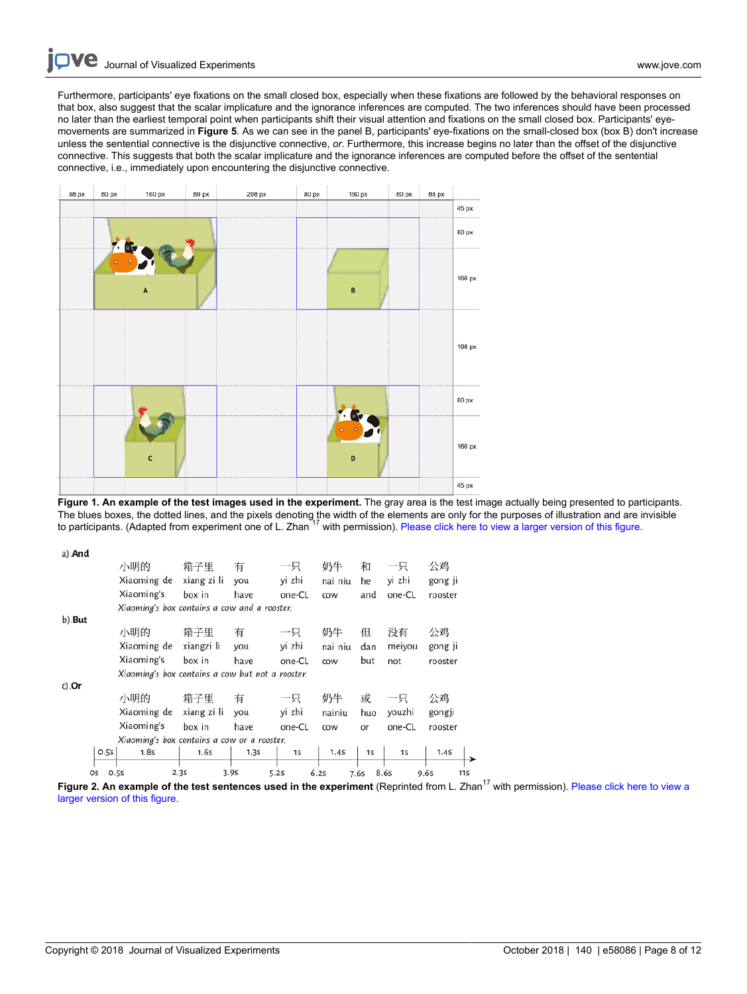Furthermore, participants' eye fixations on the small closed box, especially when these fixations are followed by the behavioral responses on that box, also suggest that the scalar implicature and the ignorance inferences are computed. The two inferences should have been processed no later than the earliest temporal point when participants shift their visual attention and fixations on the small closed box. Participants' eyemovements are summarized in **Figure 5**. As we can see in the panel B, participants' eye-fixations on the small-closed box (box B) don't increase unless the sentential connective is the disjunctive connective, *or*. Furthermore, this increase begins no later than the offset of the disjunctive connective. This suggests that both the scalar implicature and the ignorance inferences are computed before the offset of the sentential connective, i.e., immediately upon encountering the disjunctive connective.



**Figure 1. An example of the test images used in the experiment.** The gray area is the test image actually being presented to participants. The blues boxes, the dotted lines, and the pixels denoting the width of the elements are only for the purposes of illustration and are invisible<br>to participants. (Adapted from experiment one of L. Zhan <sup>17</sup> with permission

| a). <b>And</b>                                                             |                                                  |                                              |             |      |        |         |     |        |         |
|----------------------------------------------------------------------------|--------------------------------------------------|----------------------------------------------|-------------|------|--------|---------|-----|--------|---------|
|                                                                            |                                                  | 小明的                                          | 箱子里         | 有    | 一只     | 奶牛      | 和   | 一只     | 公鸡      |
|                                                                            |                                                  | Xiaoming de                                  | xiang zi li | you  | yi zhi | nai niu | he  | yi zhi | gong ji |
|                                                                            |                                                  | Xiaoming's                                   | box in      | have | one-CL | cow     | and | one-CL | rooster |
|                                                                            |                                                  | Xiaoming's box contains a cow and a rooster. |             |      |        |         |     |        |         |
| $b)$ . But                                                                 |                                                  |                                              |             |      |        |         |     |        |         |
|                                                                            |                                                  | 小明的                                          | 箱子里         | 有    | 一只     | 奶牛      | 但   | 没有     | 公鸡      |
|                                                                            |                                                  | Xiaoming de                                  | xiangzi li  | you  | yi zhi | nai niu | dan | meiyou | gong ji |
|                                                                            |                                                  | Xiaoming's                                   | box in      | have | one-CL | COW     | but | not    | rooster |
|                                                                            | Xiaoming's box contains a cow but not a rooster. |                                              |             |      |        |         |     |        |         |
| $c) .$ Or                                                                  |                                                  |                                              |             |      |        |         |     |        |         |
|                                                                            |                                                  | 小明的                                          | 箱子里         | 有    | 一只     | 奶牛      | 或   | 一只     | 公鸡      |
|                                                                            |                                                  | Xiaoming de                                  | xiang zi li | you  | yi zhi | nainiu  | huo | youzhi | gongji  |
|                                                                            |                                                  | Xiaoming's                                   | box in      | have | one-CL | COW     | or  | one-CL | rooster |
|                                                                            | Xiaoming's box contains a cow or a rooster.      |                                              |             |      |        |         |     |        |         |
|                                                                            | O.5S                                             | 1.8s                                         | 1.6s        | 1.3s | 1S     | 1.45    | 1S  | 1s     | 1.4s    |
|                                                                            |                                                  |                                              |             |      |        |         |     |        |         |
| 8.6s<br>O.5S<br>2.3s<br>3.9s<br>5.2s<br>6.2s<br>OS<br>7.6s<br>9.6s<br>11 S |                                                  |                                              |             |      |        |         |     |        |         |

**Figure 2. An example of the test sentences used in the experiment** (Reprinted from L. Zhan<sup>17</sup> with permission). [Please click here to view a](https://www.jove.com/files/ftp_upload/58086/58086fig2large.jpg) [larger version of this figure.](https://www.jove.com/files/ftp_upload/58086/58086fig2large.jpg)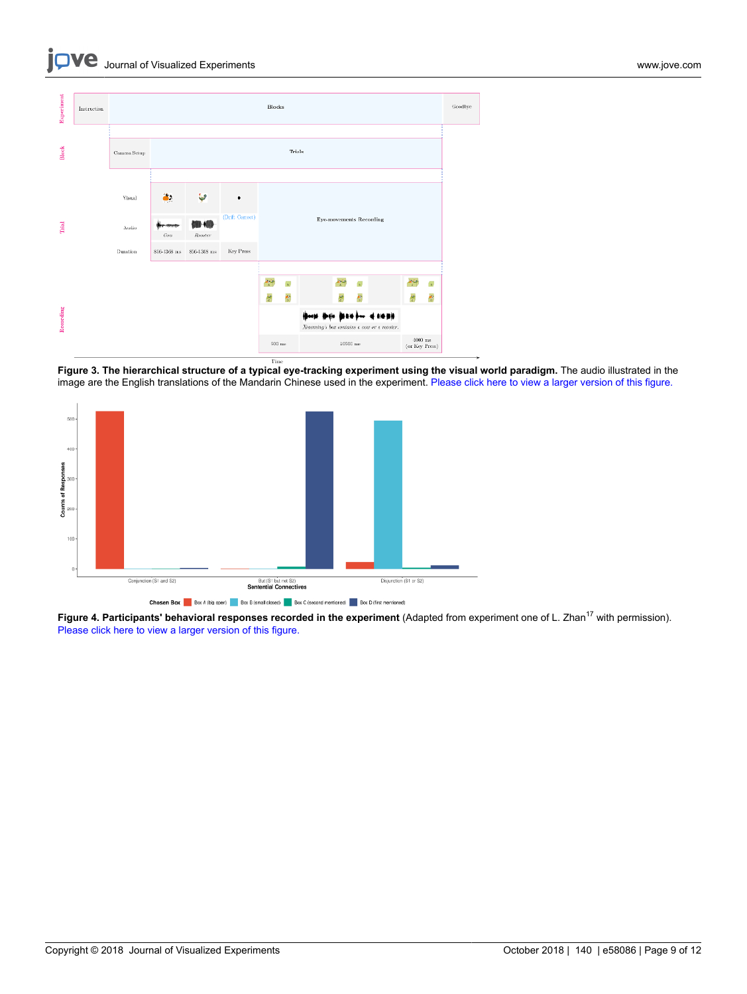**love** Journal of Visualized [Experiments](https://www.jove.com) [www.jove.com](https://www.jove.com)



**Figure 3. The hierarchical structure of a typical eye-tracking experiment using the visual world paradigm.** The audio illustrated in the image are the English translations of the Mandarin Chinese used in the experiment. [Please click here to view a larger version of this figure.](https://www.jove.com/files/ftp_upload/58086/58086fig3large.jpg)



Figure 4. Participants' behavioral responses recorded in the experiment (Adapted from experiment one of L. Zhan<sup>17</sup> with permission). [Please click here to view a larger version of this figure.](https://www.jove.com/files/ftp_upload/58086/58086fig4large.jpg)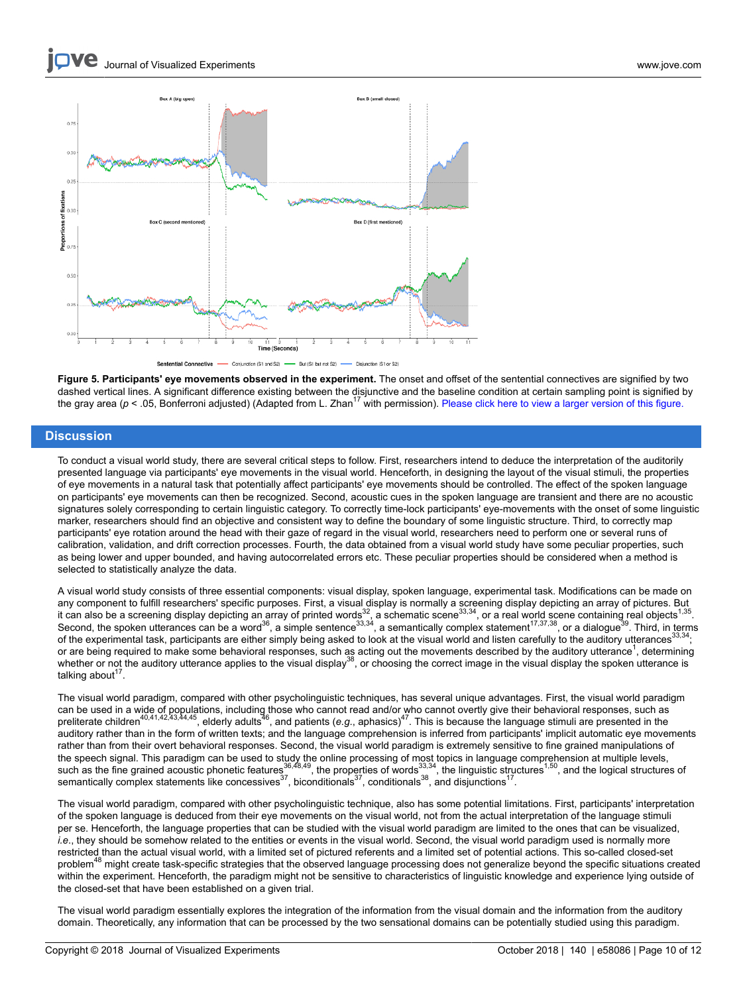

**Figure 5. Participants' eye movements observed in the experiment.** The onset and offset of the sentential connectives are signified by two dashed vertical lines. A significant difference existing between the disjunctive and the baseline condition at certain sampling point is signified by<br>the gray area (*p* < .05, Bonferroni adjusted) (Adapted from L. Zhan<sup>17</sup>

### **Discussion**

To conduct a visual world study, there are several critical steps to follow. First, researchers intend to deduce the interpretation of the auditorily presented language via participants' eye movements in the visual world. Henceforth, in designing the layout of the visual stimuli, the properties of eye movements in a natural task that potentially affect participants' eye movements should be controlled. The effect of the spoken language on participants' eye movements can then be recognized. Second, acoustic cues in the spoken language are transient and there are no acoustic signatures solely corresponding to certain linguistic category. To correctly time-lock participants' eye-movements with the onset of some linguistic marker, researchers should find an objective and consistent way to define the boundary of some linguistic structure. Third, to correctly map participants' eye rotation around the head with their gaze of regard in the visual world, researchers need to perform one or several runs of calibration, validation, and drift correction processes. Fourth, the data obtained from a visual world study have some peculiar properties, such as being lower and upper bounded, and having autocorrelated errors etc. These peculiar properties should be considered when a method is selected to statistically analyze the data.

A visual world study consists of three essential components: visual display, spoken language, experimental task. Modifications can be made on any component to fulfill researchers' specific purposes. First, a visual display is normally a screening display depicting an array of pictures. But<br>it can also be a screening display depicting an array of printed words<sup>32</sup> of the experimental task, participants are either simply being asked to look at the visual world and listen carefully to the auditory utterances $33,34$ ; or are being required to make some behavioral responses, such as acting out the movements described by the auditory utterance<sup>1</sup>, determining whether or not the auditory utterance applies to the visual display<sup>38</sup>, or choosing the correct image in the visual display the spoken utterance is talking about<sup>17</sup>.

The visual world paradigm, compared with other psycholinguistic techniques, has several unique advantages. First, the visual world paradigm can be used in a wide of populations, including those who cannot read and/or who cannot overtly give their behavioral responses, such as<br>preliterate children<sup>40,41,42,43,44,45</sup>, elderly adults<sup>46</sup>, and patients (e.*g.*, ap auditory rather than in the form of written texts; and the language comprehension is inferred from participants' implicit automatic eye movements rather than from their overt behavioral responses. Second, the visual world paradigm is extremely sensitive to fine grained manipulations of the speech signal. This paradigm can be used to study the online processing of most topics in language comprehension at multiple levels,<br>such as the fine grained acoustic phonetic features, the properties of words 33,34, t semantically complex statements like concessives<sup>37</sup>, biconditionals<sup>37</sup>, conditionals<sup>38</sup>, and disjunctions<sup>17</sup>.

The visual world paradigm, compared with other psycholinguistic technique, also has some potential limitations. First, participants' interpretation of the spoken language is deduced from their eye movements on the visual world, not from the actual interpretation of the language stimuli per se. Henceforth, the language properties that can be studied with the visual world paradigm are limited to the ones that can be visualized, *i.e.*, they should be somehow related to the entities or events in the visual world. Second, the visual world paradigm used is normally more restricted than the actual visual world, with a limited set of pictured referents and a limited set of potential actions. This so-called closed-set problem<sup>48</sup> might create task-specific strategies that the observed language processing does not generalize beyond the specific situations created within the experiment. Henceforth, the paradigm might not be sensitive to characteristics of linguistic knowledge and experience lying outside of the closed-set that have been established on a given trial.

The visual world paradigm essentially explores the integration of the information from the visual domain and the information from the auditory domain. Theoretically, any information that can be processed by the two sensational domains can be potentially studied using this paradigm.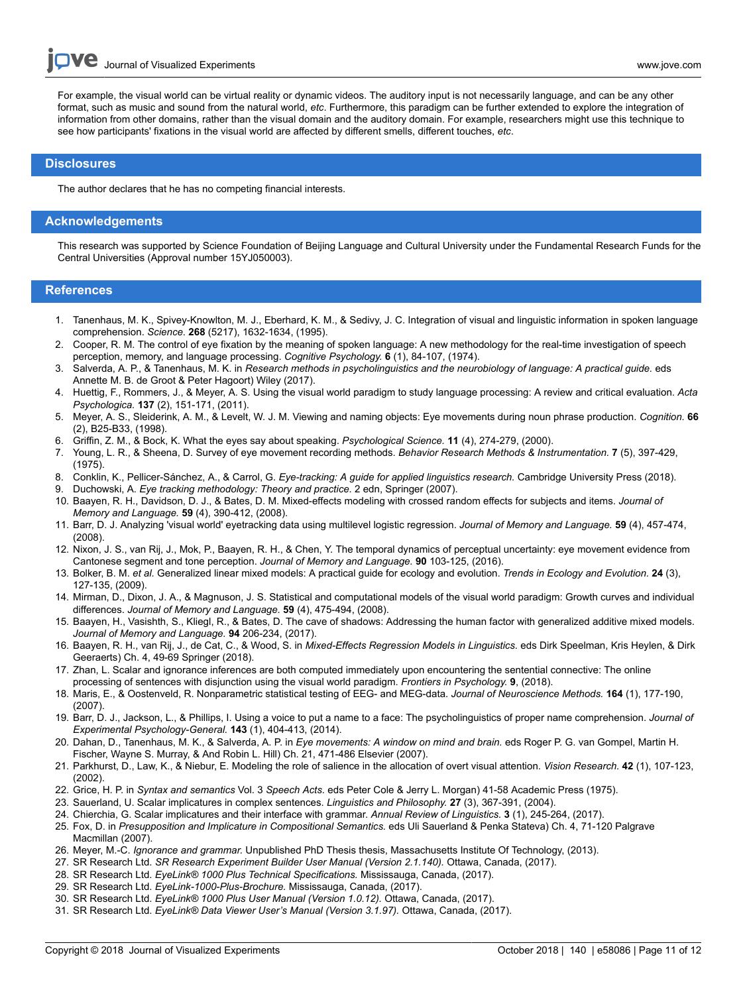For example, the visual world can be virtual reality or dynamic videos. The auditory input is not necessarily language, and can be any other format, such as music and sound from the natural world, *etc*. Furthermore, this paradigm can be further extended to explore the integration of information from other domains, rather than the visual domain and the auditory domain. For example, researchers might use this technique to see how participants' fixations in the visual world are affected by different smells, different touches, *etc*.

### **Disclosures**

The author declares that he has no competing financial interests.

### **Acknowledgements**

This research was supported by Science Foundation of Beijing Language and Cultural University under the Fundamental Research Funds for the Central Universities (Approval number 15YJ050003).

#### **References**

- 1. Tanenhaus, M. K., Spivey-Knowlton, M. J., Eberhard, K. M., & Sedivy, J. C. Integration of visual and linguistic information in spoken language comprehension. *Science.* **268** (5217), 1632-1634, (1995).
- 2. Cooper, R. M. The control of eye fixation by the meaning of spoken language: A new methodology for the real-time investigation of speech perception, memory, and language processing. *Cognitive Psychology.* **6** (1), 84-107, (1974).
- 3. Salverda, A. P., & Tanenhaus, M. K. in *Research methods in psycholinguistics and the neurobiology of language: A practical guide.* eds Annette M. B. de Groot & Peter Hagoort) Wiley (2017).
- 4. Huettig, F., Rommers, J., & Meyer, A. S. Using the visual world paradigm to study language processing: A review and critical evaluation. *Acta Psychologica.* **137** (2), 151-171, (2011).
- 5. Meyer, A. S., Sleiderink, A. M., & Levelt, W. J. M. Viewing and naming objects: Eye movements during noun phrase production. *Cognition.* **66** (2), B25-B33, (1998).
- 6. Griffin, Z. M., & Bock, K. What the eyes say about speaking. *Psychological Science.* **11** (4), 274-279, (2000).
- 7. Young, L. R., & Sheena, D. Survey of eye movement recording methods. *Behavior Research Methods & Instrumentation.* **7** (5), 397-429, (1975).
- 8. Conklin, K., Pellicer-Sánchez, A., & Carrol, G. *Eye-tracking: A guide for applied linguistics research.* Cambridge University Press (2018).
- 9. Duchowski, A. *Eye tracking methodology: Theory and practice.* 2 edn, Springer (2007).
- 10. Baayen, R. H., Davidson, D. J., & Bates, D. M. Mixed-effects modeling with crossed random effects for subjects and items. *Journal of Memory and Language.* **59** (4), 390-412, (2008).
- 11. Barr, D. J. Analyzing 'visual world' eyetracking data using multilevel logistic regression. *Journal of Memory and Language.* **59** (4), 457-474, (2008).
- 12. Nixon, J. S., van Rij, J., Mok, P., Baayen, R. H., & Chen, Y. The temporal dynamics of perceptual uncertainty: eye movement evidence from Cantonese segment and tone perception. *Journal of Memory and Language.* **90** 103-125, (2016).
- 13. Bolker, B. M. *et al.* Generalized linear mixed models: A practical guide for ecology and evolution. *Trends in Ecology and Evolution.* **24** (3), 127-135, (2009).
- 14. Mirman, D., Dixon, J. A., & Magnuson, J. S. Statistical and computational models of the visual world paradigm: Growth curves and individual differences. *Journal of Memory and Language.* **59** (4), 475-494, (2008).
- 15. Baayen, H., Vasishth, S., Kliegl, R., & Bates, D. The cave of shadows: Addressing the human factor with generalized additive mixed models. *Journal of Memory and Language.* **94** 206-234, (2017).
- 16. Baayen, R. H., van Rij, J., de Cat, C., & Wood, S. in *Mixed-Effects Regression Models in Linguistics.* eds Dirk Speelman, Kris Heylen, & Dirk Geeraerts) Ch. 4, 49-69 Springer (2018).
- 17. Zhan, L. Scalar and ignorance inferences are both computed immediately upon encountering the sentential connective: The online processing of sentences with disjunction using the visual world paradigm. *Frontiers in Psychology.* **9**, (2018).
- 18. Maris, E., & Oostenveld, R. Nonparametric statistical testing of EEG- and MEG-data. *Journal of Neuroscience Methods.* **164** (1), 177-190, (2007).
- 19. Barr, D. J., Jackson, L., & Phillips, I. Using a voice to put a name to a face: The psycholinguistics of proper name comprehension. *Journal of Experimental Psychology-General.* **143** (1), 404-413, (2014).
- 20. Dahan, D., Tanenhaus, M. K., & Salverda, A. P. in *Eye movements: A window on mind and brain.* eds Roger P. G. van Gompel, Martin H. Fischer, Wayne S. Murray, & And Robin L. Hill) Ch. 21, 471-486 Elsevier (2007).
- 21. Parkhurst, D., Law, K., & Niebur, E. Modeling the role of salience in the allocation of overt visual attention. *Vision Research.* **42** (1), 107-123, (2002).
- 22. Grice, H. P. in *Syntax and semantics* Vol. 3 *Speech Acts.* eds Peter Cole & Jerry L. Morgan) 41-58 Academic Press (1975).
- 23. Sauerland, U. Scalar implicatures in complex sentences. *Linguistics and Philosophy.* **27** (3), 367-391, (2004).
- 24. Chierchia, G. Scalar implicatures and their interface with grammar. *Annual Review of Linguistics.* **3** (1), 245-264, (2017).
- 25. Fox, D. in *Presupposition and Implicature in Compositional Semantics.* eds Uli Sauerland & Penka Stateva) Ch. 4, 71-120 Palgrave Macmillan (2007).
- 26. Meyer, M.-C. *Ignorance and grammar.* Unpublished PhD Thesis thesis, Massachusetts Institute Of Technology, (2013).
- 27. SR Research Ltd. *SR Research Experiment Builder User Manual (Version 2.1.140).* Ottawa, Canada, (2017).
- 28. SR Research Ltd. *EyeLink® 1000 Plus Technical Specifications.* Mississauga, Canada, (2017).
- 29. SR Research Ltd. *EyeLink-1000-Plus-Brochure.* Mississauga, Canada, (2017).
- 30. SR Research Ltd. *EyeLink® 1000 Plus User Manual (Version 1.0.12).* Ottawa, Canada, (2017).
- 31. SR Research Ltd. *EyeLink® Data Viewer User's Manual (Version 3.1.97).* Ottawa, Canada, (2017).